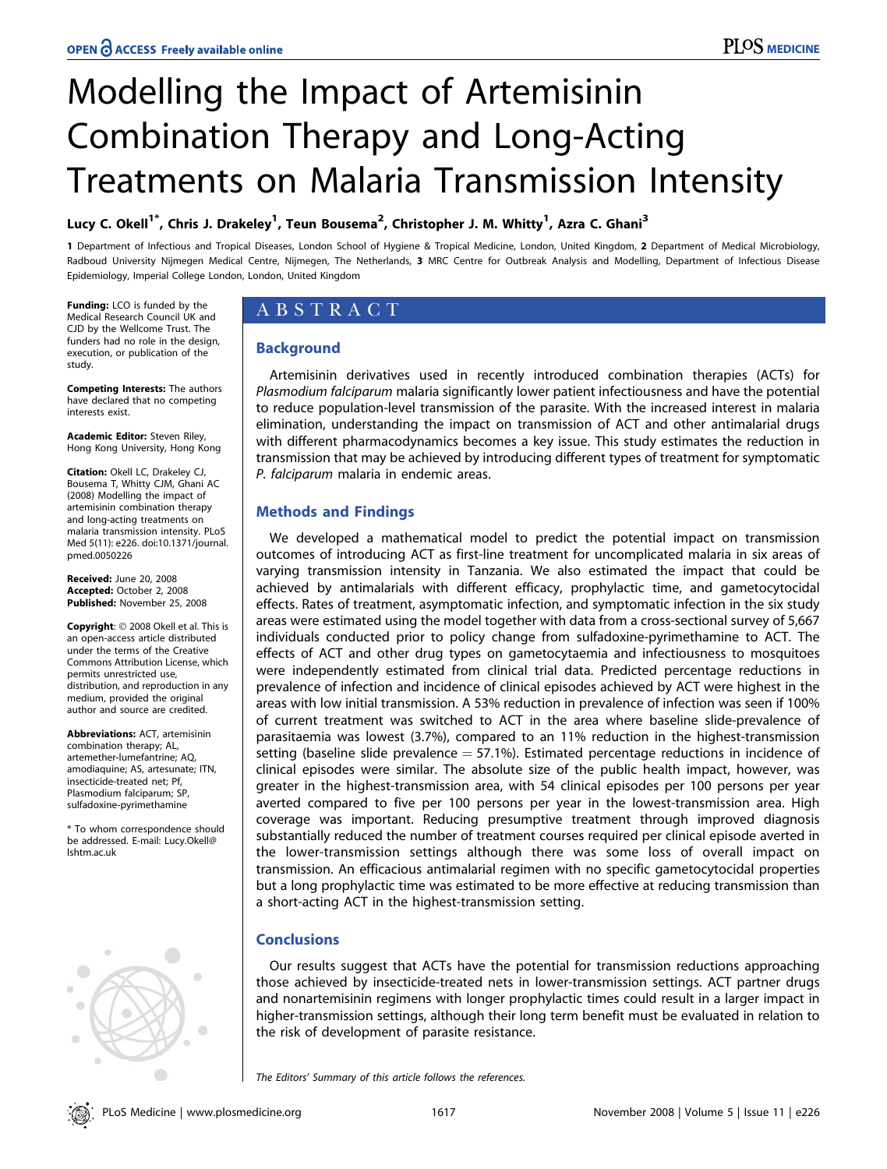# Modelling the Impact of Artemisinin Combination Therapy and Long-Acting Treatments on Malaria Transmission Intensity

# Lucy C. Okell<sup>1\*</sup>, Chris J. Drakeley<sup>1</sup>, Teun Bousema<sup>2</sup>, Christopher J. M. Whitty<sup>1</sup>, Azra C. Ghani<sup>3</sup>

1 Department of Infectious and Tropical Diseases, London School of Hygiene & Tropical Medicine, London, United Kingdom, 2 Department of Medical Microbiology, Radboud University Nijmegen Medical Centre, Nijmegen, The Netherlands, 3 MRC Centre for Outbreak Analysis and Modelling, Department of Infectious Disease Epidemiology, Imperial College London, London, United Kingdom

Funding: LCO is funded by the Medical Research Council UK and CJD by the Wellcome Trust. The funders had no role in the design, execution, or publication of the study.

Competing Interests: The authors have declared that no competing interests exist.

**Academic Editor:** Steven Riley, Hong Kong University, Hong Kong

Citation: Okell LC, Drakeley CJ, Bousema T, Whitty CJM, Ghani AC (2008) Modelling the impact of artemisinin combination therapy and long-acting treatments on malaria transmission intensity. PLoS Med 5(11): e226. doi:10.1371/journal. pmed.0050226

Received: June 20, 2008 Accepted: October 2, 2008 Published: November 25, 2008

Copyright: © 2008 Okell et al. This is an open-access article distributed under the terms of the Creative Commons Attribution License, which permits unrestricted use, distribution, and reproduction in any medium, provided the original author and source are credited.

Abbreviations: ACT, artemisinin combination therapy; AL, artemether-lumefantrine; AQ, amodiaquine; AS, artesunate; ITN, insecticide-treated net; Pf, Plasmodium falciparum; SP, sulfadoxine-pyrimethamine

\* To whom correspondence should be addressed. E-mail: Lucy.Okell@ lshtm.ac.uk



# ABSTRACT

## Background

Artemisinin derivatives used in recently introduced combination therapies (ACTs) for Plasmodium falciparum malaria significantly lower patient infectiousness and have the potential to reduce population-level transmission of the parasite. With the increased interest in malaria elimination, understanding the impact on transmission of ACT and other antimalarial drugs with different pharmacodynamics becomes a key issue. This study estimates the reduction in transmission that may be achieved by introducing different types of treatment for symptomatic P. falciparum malaria in endemic areas.

## Methods and Findings

We developed a mathematical model to predict the potential impact on transmission outcomes of introducing ACT as first-line treatment for uncomplicated malaria in six areas of varying transmission intensity in Tanzania. We also estimated the impact that could be achieved by antimalarials with different efficacy, prophylactic time, and gametocytocidal effects. Rates of treatment, asymptomatic infection, and symptomatic infection in the six study areas were estimated using the model together with data from a cross-sectional survey of 5,667 individuals conducted prior to policy change from sulfadoxine-pyrimethamine to ACT. The effects of ACT and other drug types on gametocytaemia and infectiousness to mosquitoes were independently estimated from clinical trial data. Predicted percentage reductions in prevalence of infection and incidence of clinical episodes achieved by ACT were highest in the areas with low initial transmission. A 53% reduction in prevalence of infection was seen if 100% of current treatment was switched to ACT in the area where baseline slide-prevalence of parasitaemia was lowest (3.7%), compared to an 11% reduction in the highest-transmission setting (baseline slide prevalence  $=$  57.1%). Estimated percentage reductions in incidence of clinical episodes were similar. The absolute size of the public health impact, however, was greater in the highest-transmission area, with 54 clinical episodes per 100 persons per year averted compared to five per 100 persons per year in the lowest-transmission area. High coverage was important. Reducing presumptive treatment through improved diagnosis substantially reduced the number of treatment courses required per clinical episode averted in the lower-transmission settings although there was some loss of overall impact on transmission. An efficacious antimalarial regimen with no specific gametocytocidal properties but a long prophylactic time was estimated to be more effective at reducing transmission than a short-acting ACT in the highest-transmission setting.

# **Conclusions**

Our results suggest that ACTs have the potential for transmission reductions approaching those achieved by insecticide-treated nets in lower-transmission settings. ACT partner drugs and nonartemisinin regimens with longer prophylactic times could result in a larger impact in higher-transmission settings, although their long term benefit must be evaluated in relation to the risk of development of parasite resistance.

The Editors' Summary of this article follows the references.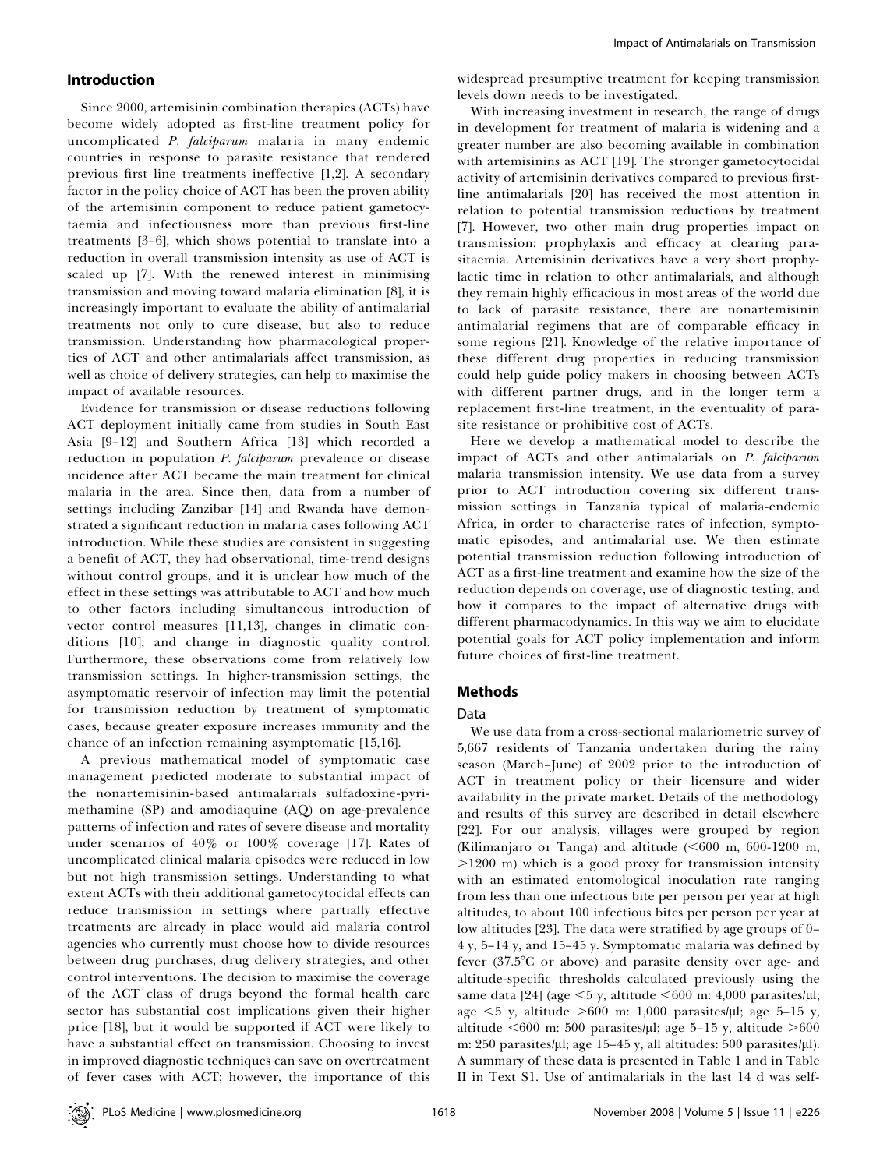#### Introduction

Since 2000, artemisinin combination therapies (ACTs) have become widely adopted as first-line treatment policy for uncomplicated P. falciparum malaria in many endemic countries in response to parasite resistance that rendered previous first line treatments ineffective [1,2]. A secondary factor in the policy choice of ACT has been the proven ability of the artemisinin component to reduce patient gametocytaemia and infectiousness more than previous first-line treatments [3–6], which shows potential to translate into a reduction in overall transmission intensity as use of ACT is scaled up [7]. With the renewed interest in minimising transmission and moving toward malaria elimination [8], it is increasingly important to evaluate the ability of antimalarial treatments not only to cure disease, but also to reduce transmission. Understanding how pharmacological properties of ACT and other antimalarials affect transmission, as well as choice of delivery strategies, can help to maximise the impact of available resources.

Evidence for transmission or disease reductions following ACT deployment initially came from studies in South East Asia [9–12] and Southern Africa [13] which recorded a reduction in population *P. falciparum* prevalence or disease incidence after ACT became the main treatment for clinical malaria in the area. Since then, data from a number of settings including Zanzibar [14] and Rwanda have demonstrated a significant reduction in malaria cases following ACT introduction. While these studies are consistent in suggesting a benefit of ACT, they had observational, time-trend designs without control groups, and it is unclear how much of the effect in these settings was attributable to ACT and how much to other factors including simultaneous introduction of vector control measures [11,13], changes in climatic conditions [10], and change in diagnostic quality control. Furthermore, these observations come from relatively low transmission settings. In higher-transmission settings, the asymptomatic reservoir of infection may limit the potential for transmission reduction by treatment of symptomatic cases, because greater exposure increases immunity and the chance of an infection remaining asymptomatic [15,16].

A previous mathematical model of symptomatic case management predicted moderate to substantial impact of the nonartemisinin-based antimalarials sulfadoxine-pyrimethamine (SP) and amodiaquine (AQ) on age-prevalence patterns of infection and rates of severe disease and mortality under scenarios of 40% or 100% coverage [17]. Rates of uncomplicated clinical malaria episodes were reduced in low but not high transmission settings. Understanding to what extent ACTs with their additional gametocytocidal effects can reduce transmission in settings where partially effective treatments are already in place would aid malaria control agencies who currently must choose how to divide resources between drug purchases, drug delivery strategies, and other control interventions. The decision to maximise the coverage of the ACT class of drugs beyond the formal health care sector has substantial cost implications given their higher price [18], but it would be supported if ACT were likely to have a substantial effect on transmission. Choosing to invest in improved diagnostic techniques can save on overtreatment of fever cases with ACT; however, the importance of this

widespread presumptive treatment for keeping transmission levels down needs to be investigated.

With increasing investment in research, the range of drugs in development for treatment of malaria is widening and a greater number are also becoming available in combination with artemisinins as ACT [19]. The stronger gametocytocidal activity of artemisinin derivatives compared to previous firstline antimalarials [20] has received the most attention in relation to potential transmission reductions by treatment [7]. However, two other main drug properties impact on transmission: prophylaxis and efficacy at clearing parasitaemia. Artemisinin derivatives have a very short prophylactic time in relation to other antimalarials, and although they remain highly efficacious in most areas of the world due to lack of parasite resistance, there are nonartemisinin antimalarial regimens that are of comparable efficacy in some regions [21]. Knowledge of the relative importance of these different drug properties in reducing transmission could help guide policy makers in choosing between ACTs with different partner drugs, and in the longer term a replacement first-line treatment, in the eventuality of parasite resistance or prohibitive cost of ACTs.

Here we develop a mathematical model to describe the impact of ACTs and other antimalarials on P. falciparum malaria transmission intensity. We use data from a survey prior to ACT introduction covering six different transmission settings in Tanzania typical of malaria-endemic Africa, in order to characterise rates of infection, symptomatic episodes, and antimalarial use. We then estimate potential transmission reduction following introduction of ACT as a first-line treatment and examine how the size of the reduction depends on coverage, use of diagnostic testing, and how it compares to the impact of alternative drugs with different pharmacodynamics. In this way we aim to elucidate potential goals for ACT policy implementation and inform future choices of first-line treatment.

#### Methods

#### Data

We use data from a cross-sectional malariometric survey of 5,667 residents of Tanzania undertaken during the rainy season (March–June) of 2002 prior to the introduction of ACT in treatment policy or their licensure and wider availability in the private market. Details of the methodology and results of this survey are described in detail elsewhere [22]. For our analysis, villages were grouped by region (Kilimanjaro or Tanga) and altitude  $(<600$  m,  $600-1200$  m,  $>1200$  m) which is a good proxy for transmission intensity with an estimated entomological inoculation rate ranging from less than one infectious bite per person per year at high altitudes, to about 100 infectious bites per person per year at low altitudes [23]. The data were stratified by age groups of 0– 4 y, 5–14 y, and 15–45 y. Symptomatic malaria was defined by fever (37.5°C or above) and parasite density over age- and altitude-specific thresholds calculated previously using the same data [24] (age  $<$  5 y, altitude  $<$  600 m: 4,000 parasites/µl; age  $\leq$ 5 y, altitude  $\geq$ 600 m: 1,000 parasites/µl; age 5–15 y, altitude  $<600$  m: 500 parasites/µl; age 5–15 y, altitude  $>600$ m: 250 parasites/µl; age 15-45 y, all altitudes: 500 parasites/µl). A summary of these data is presented in Table 1 and in Table II in Text S1. Use of antimalarials in the last 14 d was self-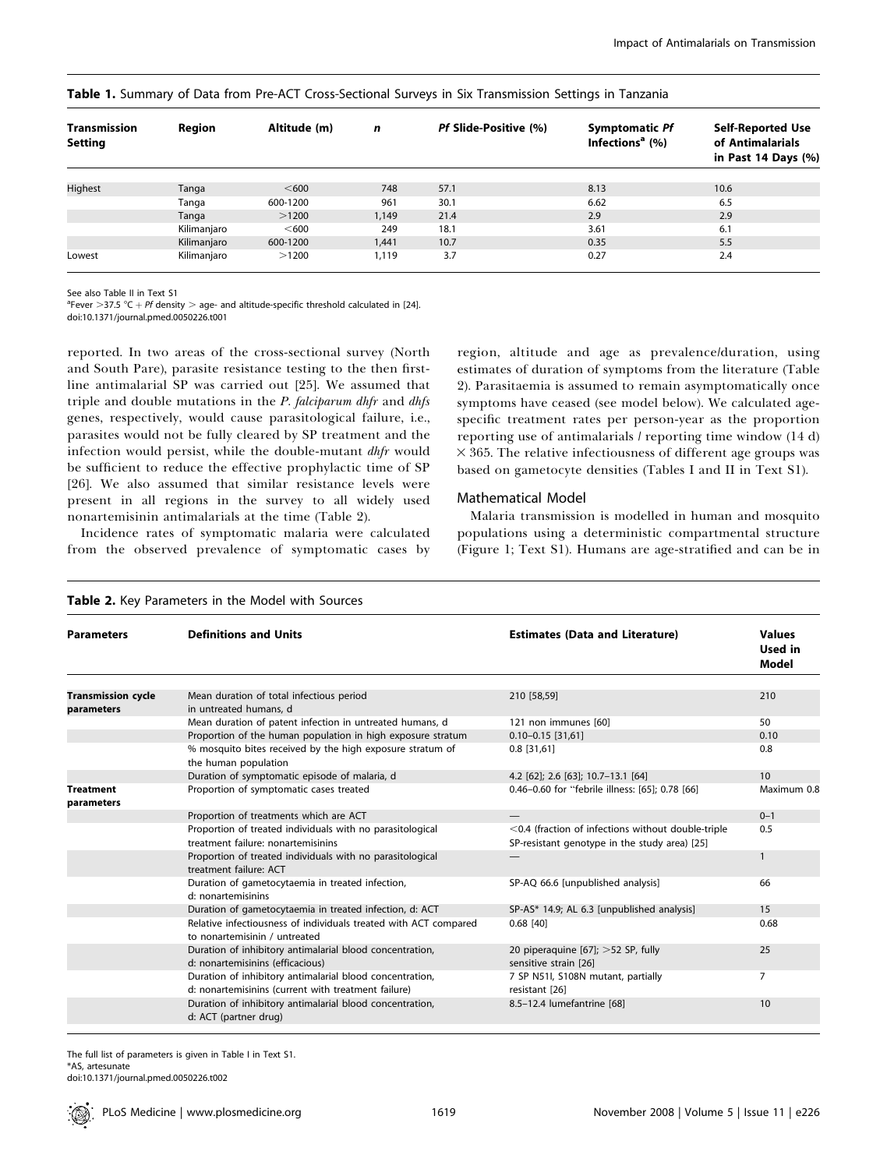| <b>Transmission</b><br>Setting | Region      | Altitude (m) | $\mathbf n$ | Pf Slide-Positive (%) | <b>Symptomatic Pf</b><br>Infections <sup>a</sup> $(%)$ | <b>Self-Reported Use</b><br>of Antimalarials<br>in Past 14 Days $(\%)$ |
|--------------------------------|-------------|--------------|-------------|-----------------------|--------------------------------------------------------|------------------------------------------------------------------------|
|                                |             |              |             |                       |                                                        |                                                                        |
| Highest                        | Tanga       | < 600        | 748         | 57.1                  | 8.13                                                   | 10.6                                                                   |
|                                | Tanga       | 600-1200     | 961         | 30.1                  | 6.62                                                   | 6.5                                                                    |
|                                | Tanga       | >1200        | 1.149       | 21.4                  | 2.9                                                    | 2.9                                                                    |
|                                | Kilimanjaro | < 600        | 249         | 18.1                  | 3.61                                                   | 6.1                                                                    |
|                                | Kilimanjaro | 600-1200     | 1.441       | 10.7                  | 0.35                                                   | 5.5                                                                    |
| Lowest                         | Kilimanjaro | >1200        | 1.119       | 3.7                   | 0.27                                                   | 2.4                                                                    |

#### Table 1. Summary of Data from Pre-ACT Cross-Sectional Surveys in Six Transmission Settings in Tanzania

See also Table II in Text S1

 $^{\text{a}}$ Fever >37.5 °C + Pf density > age- and altitude-specific threshold calculated in [24].

doi:10.1371/journal.pmed.0050226.t001

reported. In two areas of the cross-sectional survey (North and South Pare), parasite resistance testing to the then firstline antimalarial SP was carried out [25]. We assumed that triple and double mutations in the  $P$ . falciparum dhfr and dhfs genes, respectively, would cause parasitological failure, i.e., parasites would not be fully cleared by SP treatment and the infection would persist, while the double-mutant *dhfr* would be sufficient to reduce the effective prophylactic time of SP [26]. We also assumed that similar resistance levels were present in all regions in the survey to all widely used nonartemisinin antimalarials at the time (Table 2).

Incidence rates of symptomatic malaria were calculated from the observed prevalence of symptomatic cases by

region, altitude and age as prevalence/duration, using estimates of duration of symptoms from the literature (Table 2). Parasitaemia is assumed to remain asymptomatically once symptoms have ceased (see model below). We calculated agespecific treatment rates per person-year as the proportion reporting use of antimalarials / reporting time window (14 d)  $\times$  365. The relative infectiousness of different age groups was based on gametocyte densities (Tables I and II in Text S1).

#### Mathematical Model

Malaria transmission is modelled in human and mosquito populations using a deterministic compartmental structure (Figure 1; Text S1). Humans are age-stratified and can be in

| <b>Parameters</b>                       | <b>Definitions and Units</b>                                                                                    | <b>Estimates (Data and Literature)</b>                         | <b>Values</b><br>Used in |
|-----------------------------------------|-----------------------------------------------------------------------------------------------------------------|----------------------------------------------------------------|--------------------------|
|                                         |                                                                                                                 |                                                                | Model                    |
|                                         |                                                                                                                 |                                                                |                          |
| <b>Transmission cycle</b><br>parameters | Mean duration of total infectious period<br>in untreated humans, d                                              | 210 [58,59]                                                    | 210                      |
|                                         | Mean duration of patent infection in untreated humans, d                                                        | 121 non immunes [60]                                           | 50                       |
|                                         | Proportion of the human population in high exposure stratum                                                     | $0.10 - 0.15$ [31,61]                                          | 0.10                     |
|                                         | % mosquito bites received by the high exposure stratum of<br>the human population                               | $0.8$ [31,61]                                                  | 0.8                      |
|                                         | Duration of symptomatic episode of malaria, d                                                                   | 4.2 [62]; 2.6 [63]; 10.7-13.1 [64]                             | 10                       |
| <b>Treatment</b><br>parameters          | Proportion of symptomatic cases treated                                                                         | 0.46-0.60 for "febrile illness: [65]; 0.78 [66]                | Maximum 0.8              |
|                                         | Proportion of treatments which are ACT                                                                          |                                                                | $0 - 1$                  |
|                                         | Proportion of treated individuals with no parasitological                                                       | $<$ 0.4 (fraction of infections without double-triple          | 0.5                      |
|                                         | treatment failure: nonartemisinins                                                                              | SP-resistant genotype in the study area) [25]                  |                          |
|                                         | Proportion of treated individuals with no parasitological<br>treatment failure: ACT                             |                                                                | $\mathbf{1}$             |
|                                         | Duration of gametocytaemia in treated infection,<br>d: nonartemisinins                                          | SP-AQ 66.6 [unpublished analysis]                              | 66                       |
|                                         | Duration of gametocytaemia in treated infection, d: ACT                                                         | SP-AS* 14.9; AL 6.3 [unpublished analysis]                     | 15                       |
|                                         | Relative infectiousness of individuals treated with ACT compared<br>to nonartemisinin / untreated               | $0.68$ [40]                                                    | 0.68                     |
|                                         | Duration of inhibitory antimalarial blood concentration,<br>d: nonartemisinins (efficacious)                    | 20 piperaquine $[67]$ ; >52 SP, fully<br>sensitive strain [26] | 25                       |
|                                         | Duration of inhibitory antimalarial blood concentration,<br>d: nonartemisinins (current with treatment failure) | 7 SP N51I, S108N mutant, partially<br>resistant [26]           | 7                        |
|                                         | Duration of inhibitory antimalarial blood concentration,<br>d: ACT (partner drug)                               | 8.5-12.4 lumefantrine [68]                                     | 10                       |

#### Table 2. Key Parameters in the Model with Sources

The full list of parameters is given in Table I in Text S1. \*AS, artesunate doi:10.1371/journal.pmed.0050226.t002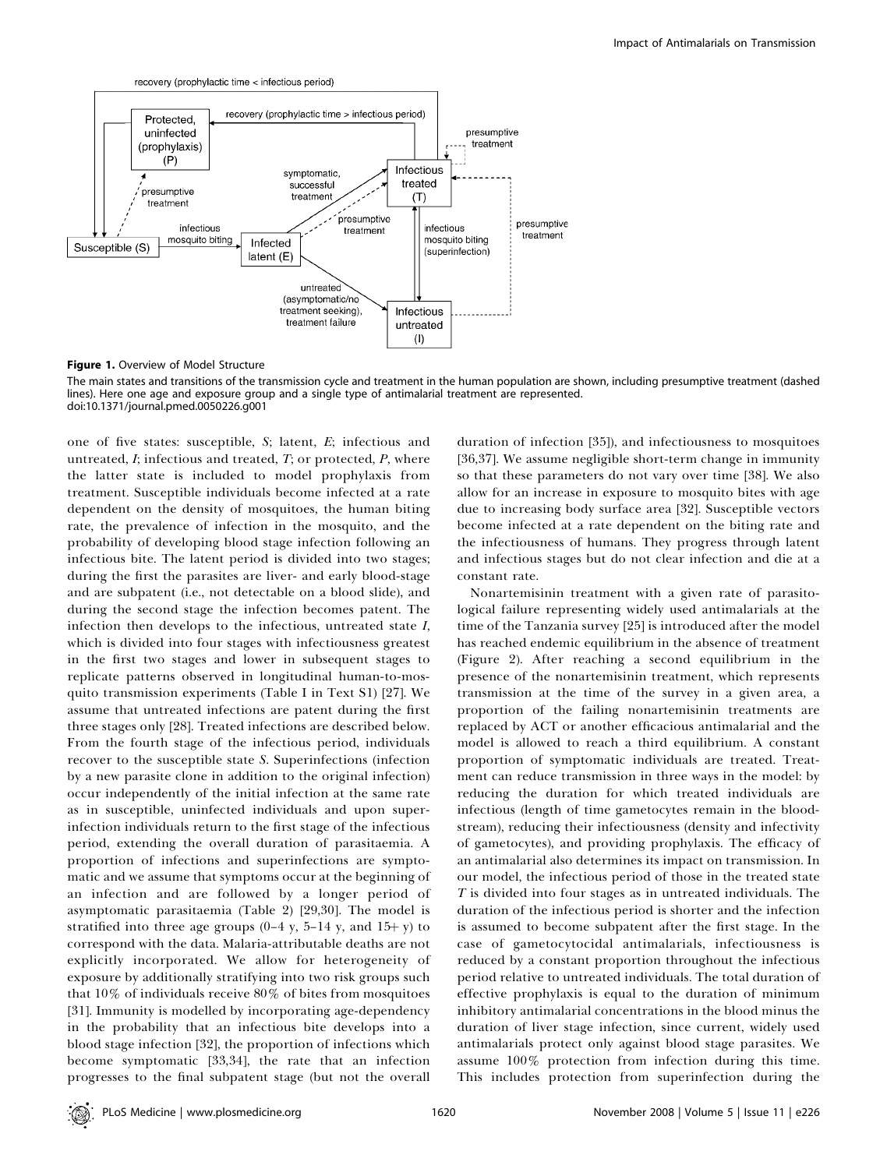

Figure 1. Overview of Model Structure

The main states and transitions of the transmission cycle and treatment in the human population are shown, including presumptive treatment (dashed lines). Here one age and exposure group and a single type of antimalarial treatment are represented. doi:10.1371/journal.pmed.0050226.g001

one of five states: susceptible, S; latent, E; infectious and untreated,  $I$ ; infectious and treated,  $T$ ; or protected,  $P$ , where the latter state is included to model prophylaxis from treatment. Susceptible individuals become infected at a rate dependent on the density of mosquitoes, the human biting rate, the prevalence of infection in the mosquito, and the probability of developing blood stage infection following an infectious bite. The latent period is divided into two stages; during the first the parasites are liver- and early blood-stage and are subpatent (i.e., not detectable on a blood slide), and during the second stage the infection becomes patent. The infection then develops to the infectious, untreated state I, which is divided into four stages with infectiousness greatest in the first two stages and lower in subsequent stages to replicate patterns observed in longitudinal human-to-mosquito transmission experiments (Table I in Text S1) [27]. We assume that untreated infections are patent during the first three stages only [28]. Treated infections are described below. From the fourth stage of the infectious period, individuals recover to the susceptible state S. Superinfections (infection by a new parasite clone in addition to the original infection) occur independently of the initial infection at the same rate as in susceptible, uninfected individuals and upon superinfection individuals return to the first stage of the infectious period, extending the overall duration of parasitaemia. A proportion of infections and superinfections are symptomatic and we assume that symptoms occur at the beginning of an infection and are followed by a longer period of asymptomatic parasitaemia (Table 2) [29,30]. The model is stratified into three age groups  $(0-4 y, 5-14 y,$  and  $15+y)$  to correspond with the data. Malaria-attributable deaths are not explicitly incorporated. We allow for heterogeneity of exposure by additionally stratifying into two risk groups such that 10% of individuals receive 80% of bites from mosquitoes [31]. Immunity is modelled by incorporating age-dependency in the probability that an infectious bite develops into a blood stage infection [32], the proportion of infections which become symptomatic [33,34], the rate that an infection progresses to the final subpatent stage (but not the overall

duration of infection [35]), and infectiousness to mosquitoes [36,37]. We assume negligible short-term change in immunity so that these parameters do not vary over time [38]. We also allow for an increase in exposure to mosquito bites with age due to increasing body surface area [32]. Susceptible vectors become infected at a rate dependent on the biting rate and the infectiousness of humans. They progress through latent and infectious stages but do not clear infection and die at a constant rate.

Nonartemisinin treatment with a given rate of parasitological failure representing widely used antimalarials at the time of the Tanzania survey [25] is introduced after the model has reached endemic equilibrium in the absence of treatment (Figure 2). After reaching a second equilibrium in the presence of the nonartemisinin treatment, which represents transmission at the time of the survey in a given area, a proportion of the failing nonartemisinin treatments are replaced by ACT or another efficacious antimalarial and the model is allowed to reach a third equilibrium. A constant proportion of symptomatic individuals are treated. Treatment can reduce transmission in three ways in the model: by reducing the duration for which treated individuals are infectious (length of time gametocytes remain in the bloodstream), reducing their infectiousness (density and infectivity of gametocytes), and providing prophylaxis. The efficacy of an antimalarial also determines its impact on transmission. In our model, the infectious period of those in the treated state T is divided into four stages as in untreated individuals. The duration of the infectious period is shorter and the infection is assumed to become subpatent after the first stage. In the case of gametocytocidal antimalarials, infectiousness is reduced by a constant proportion throughout the infectious period relative to untreated individuals. The total duration of effective prophylaxis is equal to the duration of minimum inhibitory antimalarial concentrations in the blood minus the duration of liver stage infection, since current, widely used antimalarials protect only against blood stage parasites. We assume 100% protection from infection during this time. This includes protection from superinfection during the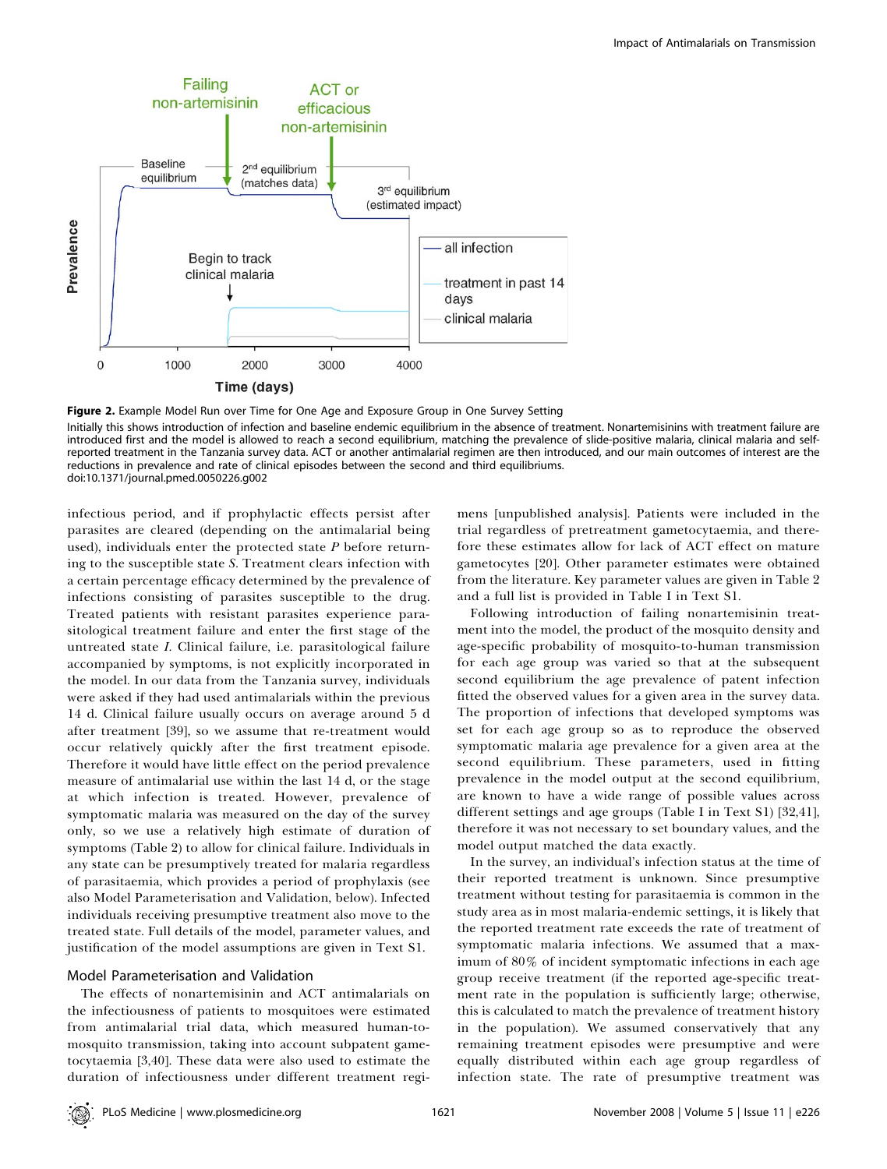

Figure 2. Example Model Run over Time for One Age and Exposure Group in One Survey Setting

Initially this shows introduction of infection and baseline endemic equilibrium in the absence of treatment. Nonartemisinins with treatment failure are introduced first and the model is allowed to reach a second equilibrium, matching the prevalence of slide-positive malaria, clinical malaria and selfreported treatment in the Tanzania survey data. ACT or another antimalarial regimen are then introduced, and our main outcomes of interest are the reductions in prevalence and rate of clinical episodes between the second and third equilibriums. doi:10.1371/journal.pmed.0050226.g002

infectious period, and if prophylactic effects persist after parasites are cleared (depending on the antimalarial being used), individuals enter the protected state  $P$  before returning to the susceptible state S. Treatment clears infection with a certain percentage efficacy determined by the prevalence of infections consisting of parasites susceptible to the drug. Treated patients with resistant parasites experience parasitological treatment failure and enter the first stage of the untreated state I. Clinical failure, i.e. parasitological failure accompanied by symptoms, is not explicitly incorporated in the model. In our data from the Tanzania survey, individuals were asked if they had used antimalarials within the previous 14 d. Clinical failure usually occurs on average around 5 d after treatment [39], so we assume that re-treatment would occur relatively quickly after the first treatment episode. Therefore it would have little effect on the period prevalence measure of antimalarial use within the last 14 d, or the stage at which infection is treated. However, prevalence of symptomatic malaria was measured on the day of the survey only, so we use a relatively high estimate of duration of symptoms (Table 2) to allow for clinical failure. Individuals in any state can be presumptively treated for malaria regardless of parasitaemia, which provides a period of prophylaxis (see also Model Parameterisation and Validation, below). Infected individuals receiving presumptive treatment also move to the treated state. Full details of the model, parameter values, and justification of the model assumptions are given in Text S1.

#### Model Parameterisation and Validation

The effects of nonartemisinin and ACT antimalarials on the infectiousness of patients to mosquitoes were estimated from antimalarial trial data, which measured human-tomosquito transmission, taking into account subpatent gametocytaemia [3,40]. These data were also used to estimate the duration of infectiousness under different treatment regi-

mens [unpublished analysis]. Patients were included in the trial regardless of pretreatment gametocytaemia, and therefore these estimates allow for lack of ACT effect on mature gametocytes [20]. Other parameter estimates were obtained from the literature. Key parameter values are given in Table 2 and a full list is provided in Table I in Text S1.

Following introduction of failing nonartemisinin treatment into the model, the product of the mosquito density and age-specific probability of mosquito-to-human transmission for each age group was varied so that at the subsequent second equilibrium the age prevalence of patent infection fitted the observed values for a given area in the survey data. The proportion of infections that developed symptoms was set for each age group so as to reproduce the observed symptomatic malaria age prevalence for a given area at the second equilibrium. These parameters, used in fitting prevalence in the model output at the second equilibrium, are known to have a wide range of possible values across different settings and age groups (Table I in Text S1) [32,41], therefore it was not necessary to set boundary values, and the model output matched the data exactly.

In the survey, an individual's infection status at the time of their reported treatment is unknown. Since presumptive treatment without testing for parasitaemia is common in the study area as in most malaria-endemic settings, it is likely that the reported treatment rate exceeds the rate of treatment of symptomatic malaria infections. We assumed that a maximum of 80% of incident symptomatic infections in each age group receive treatment (if the reported age-specific treatment rate in the population is sufficiently large; otherwise, this is calculated to match the prevalence of treatment history in the population). We assumed conservatively that any remaining treatment episodes were presumptive and were equally distributed within each age group regardless of infection state. The rate of presumptive treatment was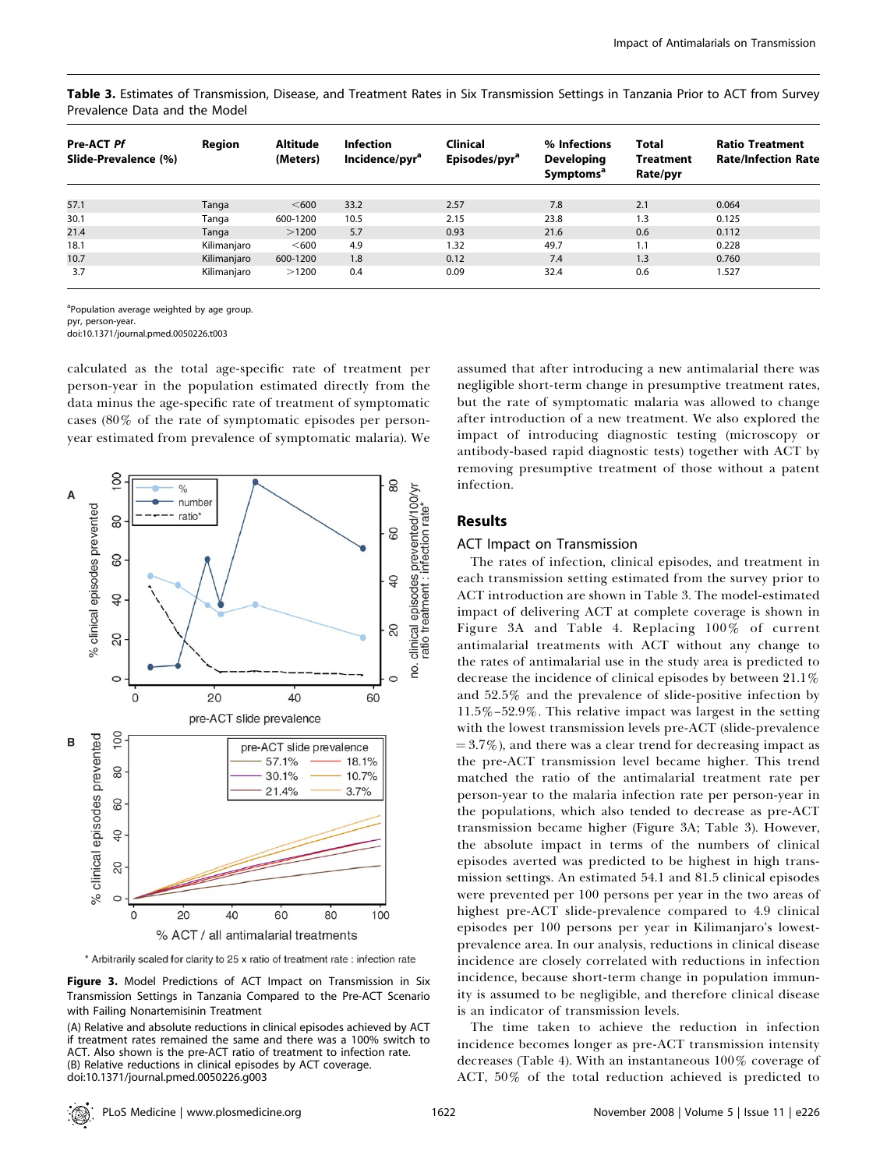Table 3. Estimates of Transmission, Disease, and Treatment Rates in Six Transmission Settings in Tanzania Prior to ACT from Survey Prevalence Data and the Model

| Pre-ACT Pf<br>Slide-Prevalence (%) | Region      | Altitude<br>(Meters) | <b>Infection</b><br>Incidence/pyr <sup>a</sup> | <b>Clinical</b><br>Episodes/pyr <sup>a</sup> | % Infections<br><b>Developing</b><br><b>Symptoms<sup>a</sup></b> | Total<br><b>Treatment</b><br>Rate/pyr | <b>Ratio Treatment</b><br><b>Rate/Infection Rate</b> |
|------------------------------------|-------------|----------------------|------------------------------------------------|----------------------------------------------|------------------------------------------------------------------|---------------------------------------|------------------------------------------------------|
|                                    |             |                      |                                                |                                              |                                                                  |                                       |                                                      |
| 57.1                               | Tanga       | $600$                | 33.2                                           | 2.57                                         | 7.8                                                              | 2.1                                   | 0.064                                                |
| 30.1                               | Tanga       | 600-1200             | 10.5                                           | 2.15                                         | 23.8                                                             | 1.3                                   | 0.125                                                |
| 21.4                               | Tanga       | >1200                | 5.7                                            | 0.93                                         | 21.6                                                             | 0.6                                   | 0.112                                                |
| 18.1                               | Kilimanjaro | < 600                | 4.9                                            | 1.32                                         | 49.7                                                             | 1.1                                   | 0.228                                                |
| 10.7                               | Kilimanjaro | 600-1200             | 1.8                                            | 0.12                                         | 7.4                                                              | 1.3                                   | 0.760                                                |
| 3.7                                | Kilimanjaro | >1200                | 0.4                                            | 0.09                                         | 32.4                                                             | 0.6                                   | 1.527                                                |

<sup>a</sup>Population average weighted by age group.

pyr, person-year.

doi:10.1371/journal.pmed.0050226.t003

calculated as the total age-specific rate of treatment per person-year in the population estimated directly from the data minus the age-specific rate of treatment of symptomatic cases (80% of the rate of symptomatic episodes per personyear estimated from prevalence of symptomatic malaria). We



\* Arbitrarily scaled for clarity to 25 x ratio of treatment rate : infection rate

Figure 3. Model Predictions of ACT Impact on Transmission in Six Transmission Settings in Tanzania Compared to the Pre-ACT Scenario with Failing Nonartemisinin Treatment

(A) Relative and absolute reductions in clinical episodes achieved by ACT if treatment rates remained the same and there was a 100% switch to ACT. Also shown is the pre-ACT ratio of treatment to infection rate. (B) Relative reductions in clinical episodes by ACT coverage. doi:10.1371/journal.pmed.0050226.g003

assumed that after introducing a new antimalarial there was negligible short-term change in presumptive treatment rates, but the rate of symptomatic malaria was allowed to change after introduction of a new treatment. We also explored the impact of introducing diagnostic testing (microscopy or antibody-based rapid diagnostic tests) together with ACT by removing presumptive treatment of those without a patent infection.

### Results

#### ACT Impact on Transmission

The rates of infection, clinical episodes, and treatment in each transmission setting estimated from the survey prior to ACT introduction are shown in Table 3. The model-estimated impact of delivering ACT at complete coverage is shown in Figure 3A and Table 4. Replacing 100% of current antimalarial treatments with ACT without any change to the rates of antimalarial use in the study area is predicted to decrease the incidence of clinical episodes by between 21.1% and 52.5% and the prevalence of slide-positive infection by 11.5%–52.9%. This relative impact was largest in the setting with the lowest transmission levels pre-ACT (slide-prevalence  $= 3.7\%$ ), and there was a clear trend for decreasing impact as the pre-ACT transmission level became higher. This trend matched the ratio of the antimalarial treatment rate per person-year to the malaria infection rate per person-year in the populations, which also tended to decrease as pre-ACT transmission became higher (Figure 3A; Table 3). However, the absolute impact in terms of the numbers of clinical episodes averted was predicted to be highest in high transmission settings. An estimated 54.1 and 81.5 clinical episodes were prevented per 100 persons per year in the two areas of highest pre-ACT slide-prevalence compared to 4.9 clinical episodes per 100 persons per year in Kilimanjaro's lowestprevalence area. In our analysis, reductions in clinical disease incidence are closely correlated with reductions in infection incidence, because short-term change in population immunity is assumed to be negligible, and therefore clinical disease is an indicator of transmission levels.

The time taken to achieve the reduction in infection incidence becomes longer as pre-ACT transmission intensity decreases (Table 4). With an instantaneous 100% coverage of ACT, 50% of the total reduction achieved is predicted to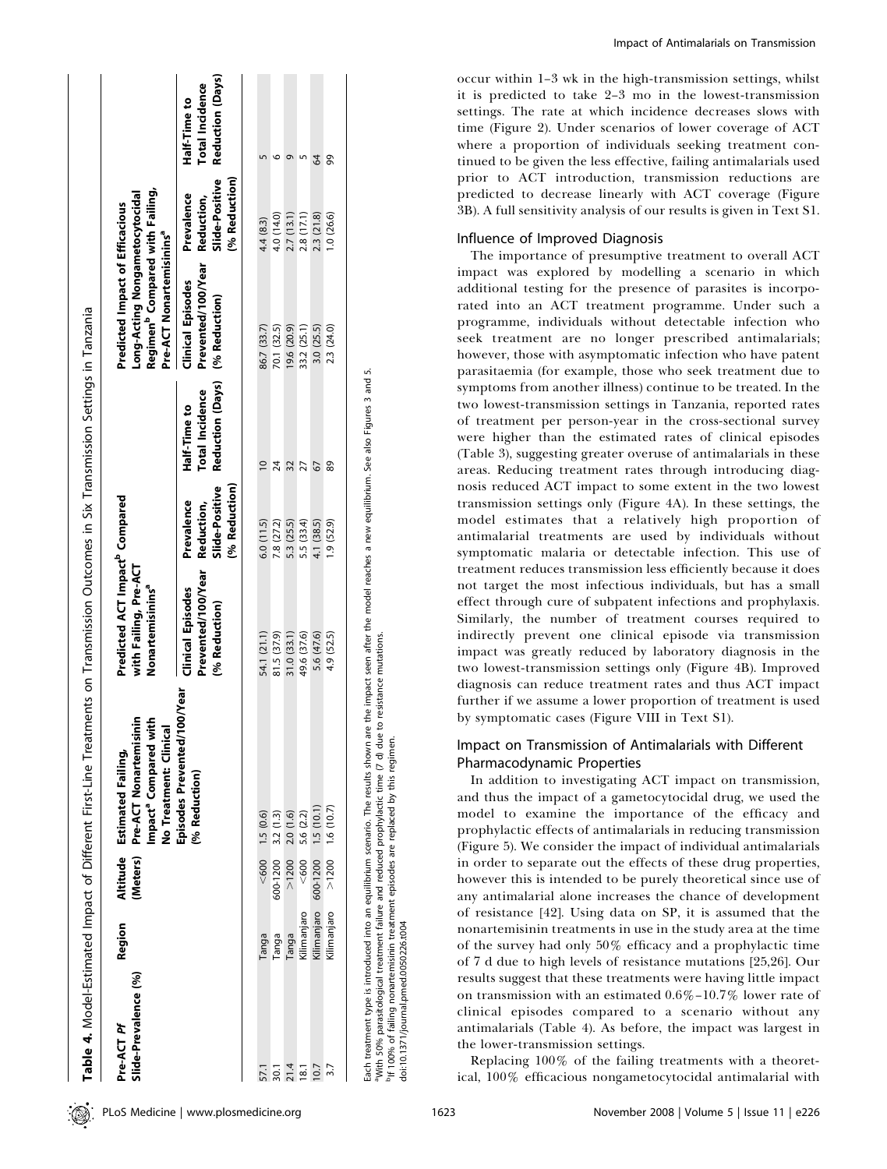| Slide-Prevalence (%)<br>Pre-ACT Pf | Region      | (Meters)                        | Pre-ACT Nonartemisinin<br><b>Aith</b><br>No Treatment: Clinical<br>Impact <sup>a</sup> Compared<br>Altitude Estimated Failing, | Predicted ACT Impact <sup>p</sup> Compared<br>with Failing, Pre-ACT<br>Nonartemisinins <sup>a</sup> |                                                             |                                                                          | Regimen <sup>9</sup> Compared with Failing,<br>Long-Acting Nongametocytocidal<br>Predicted Impact of Efficacious<br>Pre-ACT Nonartemisinins <sup>a</sup> |                                                             |                                                                   |
|------------------------------------|-------------|---------------------------------|--------------------------------------------------------------------------------------------------------------------------------|-----------------------------------------------------------------------------------------------------|-------------------------------------------------------------|--------------------------------------------------------------------------|----------------------------------------------------------------------------------------------------------------------------------------------------------|-------------------------------------------------------------|-------------------------------------------------------------------|
|                                    |             |                                 | '100/Year<br>Episodes Prevented/<br>(% Reduction)                                                                              | Prevented/100/Year<br><b>Clinical Episodes</b><br>(% Reduction)                                     | Slide-Positive<br>(% Reduction)<br>Prevalence<br>Reduction, | Reduction (Days) (% Reduction)<br><b>Total Incidence</b><br>Half-Time to | Prevented/100/Year<br><b>Clinical Episodes</b>                                                                                                           | Slide-Positive<br>(% Reduction)<br>Prevalence<br>Reduction, | <b>Reduction (Days)</b><br><b>Total Incidence</b><br>Half-Time to |
|                                    | Tanga       | < 600                           | 1.5(0.6)                                                                                                                       | 54.1 (21.1)                                                                                         | 6.0(11.5)                                                   | $\overline{a}$                                                           | 86.7 (33.7)                                                                                                                                              | 4.4 (8.3)                                                   |                                                                   |
| 30.1                               | Tanga       | $600 - 1200$ 3.2 (1.3)          |                                                                                                                                | 81.5 (37.9)                                                                                         | 7.8 (27.2)                                                  | 24                                                                       | 70.1 (32.5)                                                                                                                                              | 4.0 (14.0)                                                  | ١O                                                                |
| 21.4                               | Tanga       | >1200                           | 2.0(1.6)                                                                                                                       | 31.0 (33.1)                                                                                         | 5.3 (25.5)                                                  | 32                                                                       | 19.6 (20.9)                                                                                                                                              | 2.7(13.1)                                                   | σ                                                                 |
| 18.1                               | Kilimanjaro | < 600                           | 5.6 (2.2)                                                                                                                      | 49.6 (37.6)                                                                                         | 5.5 (33.4)                                                  | 27                                                                       | 33.2 (25.1)                                                                                                                                              | 2.8 (17.1)                                                  |                                                                   |
| 10.7                               |             | Kilimanjaro 600-1200 1.5 (10.1) |                                                                                                                                | 5.6 (47.6)                                                                                          | 4.1 (38.5)                                                  | 67                                                                       | 3.0 (25.5)                                                                                                                                               | 2.3 (21.8)                                                  | 8                                                                 |
|                                    | Kilimanjaro | $>1200$ 1.6 (10.7)              |                                                                                                                                | 4.9 (52.5)                                                                                          | 1.9(52.9)                                                   | 89                                                                       | 2.3 (24.0)                                                                                                                                               | 1.0(26.6)                                                   | 99                                                                |

Each treatment type is introduced into an equilibrium scenario. The results shown are the impact seen after the model reaches a new equilibrium. See also Figures 3 and 5.<br>"With 50% parasitological treatment failure and red "With 50% parasitological treatment failure and reduced prophylactic time (7 d) due to resistance mutations.<br>"It 100% of failing nonartemisinin treatment episodes are replaced by this regimen.<br>doi:10.1371/journal.pmed.0050 <sup>b</sup>If 100% of failing nonartemisinin treatment episodes are replaced by this regimen.

doi:10.1371/journal.pmed.0050226.t004

occur within 1–3 wk in the high-transmission settings, whilst it is predicted to take 2–3 mo in the lowest-transmission settings. The rate at which incidence decreases slows with time (Figure 2). Under scenarios of lower coverage of ACT where a proportion of individuals seeking treatment continued to be given the less effective, failing antimalarials used prior to ACT introduction, transmission reductions are predicted to decrease linearly with ACT coverage (Figure 3B). A full sensitivity analysis of our results is given in Text S1.

## Influence of Improved Diagnosis

The importance of presumptive treatment to overall ACT impact was explored by modelling a scenario in which additional testing for the presence of parasites is incorporated into an ACT treatment programme. Under such a programme, individuals without detectable infection who seek treatment are no longer prescribed antimalarials; however, those with asymptomatic infection who have patent parasitaemia (for example, those who seek treatment due to symptoms from another illness) continue to be treated. In the two lowest-transmission settings in Tanzania, reported rates of treatment per person-year in the cross-sectional survey were higher than the estimated rates of clinical episodes (Table 3), suggesting greater overuse of antimalarials in these areas. Reducing treatment rates through introducing diagnosis reduced ACT impact to some extent in the two lowest transmission settings only (Figure 4A). In these settings, the model estimates that a relatively high proportion of antimalarial treatments are used by individuals without symptomatic malaria or detectable infection. This use of treatment reduces transmission less efficiently because it does not target the most infectious individuals, but has a small effect through cure of subpatent infections and prophylaxis. Similarly, the number of treatment courses required to indirectly prevent one clinical episode via transmission impact was greatly reduced by laboratory diagnosis in the two lowest-transmission settings only (Figure 4B). Improved diagnosis can reduce treatment rates and thus ACT impact further if we assume a lower proportion of treatment is used by symptomatic cases (Figure VIII in Text S1).

## Impact on Transmission of Antimalarials with Different Pharmacodynamic Properties

In addition to investigating ACT impact on transmission, and thus the impact of a gametocytocidal drug, we used the model to examine the importance of the efficacy and prophylactic effects of antimalarials in reducing transmission (Figure 5). We consider the impact of individual antimalarials in order to separate out the effects of these drug properties, however this is intended to be purely theoretical since use of any antimalarial alone increases the chance of development of resistance [42]. Using data on SP, it is assumed that the nonartemisinin treatments in use in the study area at the time of the survey had only 50% efficacy and a prophylactic time of 7 d due to high levels of resistance mutations [25,26]. Our results suggest that these treatments were having little impact on transmission with an estimated 0.6%–10.7% lower rate of clinical episodes compared to a scenario without any antimalarials (Table 4). As before, the impact was largest in the lower-transmission settings.

Replacing 100% of the failing treatments with a theoretical, 100% efficacious nongametocytocidal antimalarial with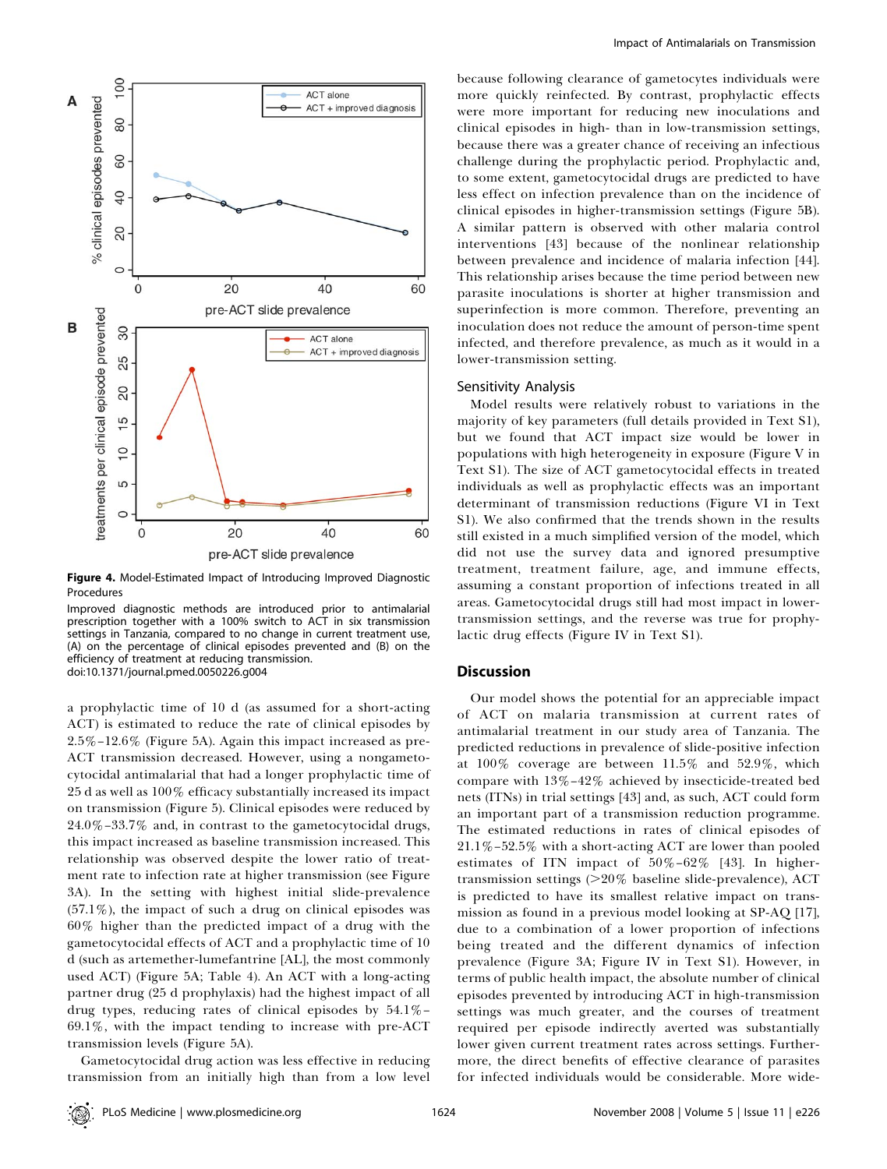

Figure 4. Model-Estimated Impact of Introducing Improved Diagnostic Procedures

Improved diagnostic methods are introduced prior to antimalarial prescription together with a 100% switch to ACT in six transmission settings in Tanzania, compared to no change in current treatment use, (A) on the percentage of clinical episodes prevented and (B) on the efficiency of treatment at reducing transmission. doi:10.1371/journal.pmed.0050226.g004

a prophylactic time of 10 d (as assumed for a short-acting ACT) is estimated to reduce the rate of clinical episodes by 2.5%–12.6% (Figure 5A). Again this impact increased as pre-ACT transmission decreased. However, using a nongametocytocidal antimalarial that had a longer prophylactic time of 25 d as well as 100% efficacy substantially increased its impact on transmission (Figure 5). Clinical episodes were reduced by 24.0%–33.7% and, in contrast to the gametocytocidal drugs, this impact increased as baseline transmission increased. This relationship was observed despite the lower ratio of treatment rate to infection rate at higher transmission (see Figure 3A). In the setting with highest initial slide-prevalence  $(57.1\%)$ , the impact of such a drug on clinical episodes was 60% higher than the predicted impact of a drug with the gametocytocidal effects of ACT and a prophylactic time of 10 d (such as artemether-lumefantrine [AL], the most commonly used ACT) (Figure 5A; Table 4). An ACT with a long-acting partner drug (25 d prophylaxis) had the highest impact of all drug types, reducing rates of clinical episodes by 54.1%– 69.1%, with the impact tending to increase with pre-ACT transmission levels (Figure 5A).

Gametocytocidal drug action was less effective in reducing transmission from an initially high than from a low level

because following clearance of gametocytes individuals were more quickly reinfected. By contrast, prophylactic effects were more important for reducing new inoculations and clinical episodes in high- than in low-transmission settings, because there was a greater chance of receiving an infectious challenge during the prophylactic period. Prophylactic and, to some extent, gametocytocidal drugs are predicted to have less effect on infection prevalence than on the incidence of clinical episodes in higher-transmission settings (Figure 5B). A similar pattern is observed with other malaria control interventions [43] because of the nonlinear relationship between prevalence and incidence of malaria infection [44]. This relationship arises because the time period between new parasite inoculations is shorter at higher transmission and superinfection is more common. Therefore, preventing an inoculation does not reduce the amount of person-time spent infected, and therefore prevalence, as much as it would in a lower-transmission setting.

#### Sensitivity Analysis

Model results were relatively robust to variations in the majority of key parameters (full details provided in Text S1), but we found that ACT impact size would be lower in populations with high heterogeneity in exposure (Figure V in Text S1). The size of ACT gametocytocidal effects in treated individuals as well as prophylactic effects was an important determinant of transmission reductions (Figure VI in Text S1). We also confirmed that the trends shown in the results still existed in a much simplified version of the model, which did not use the survey data and ignored presumptive treatment, treatment failure, age, and immune effects, assuming a constant proportion of infections treated in all areas. Gametocytocidal drugs still had most impact in lowertransmission settings, and the reverse was true for prophylactic drug effects (Figure IV in Text S1).

#### **Discussion**

Our model shows the potential for an appreciable impact of ACT on malaria transmission at current rates of antimalarial treatment in our study area of Tanzania. The predicted reductions in prevalence of slide-positive infection at 100% coverage are between 11.5% and 52.9%, which compare with 13%–42% achieved by insecticide-treated bed nets (ITNs) in trial settings [43] and, as such, ACT could form an important part of a transmission reduction programme. The estimated reductions in rates of clinical episodes of 21.1%–52.5% with a short-acting ACT are lower than pooled estimates of ITN impact of 50%–62% [43]. In highertransmission settings  $(>20\%$  baseline slide-prevalence), ACT is predicted to have its smallest relative impact on transmission as found in a previous model looking at SP-AQ [17], due to a combination of a lower proportion of infections being treated and the different dynamics of infection prevalence (Figure 3A; Figure IV in Text S1). However, in terms of public health impact, the absolute number of clinical episodes prevented by introducing ACT in high-transmission settings was much greater, and the courses of treatment required per episode indirectly averted was substantially lower given current treatment rates across settings. Furthermore, the direct benefits of effective clearance of parasites for infected individuals would be considerable. More wide-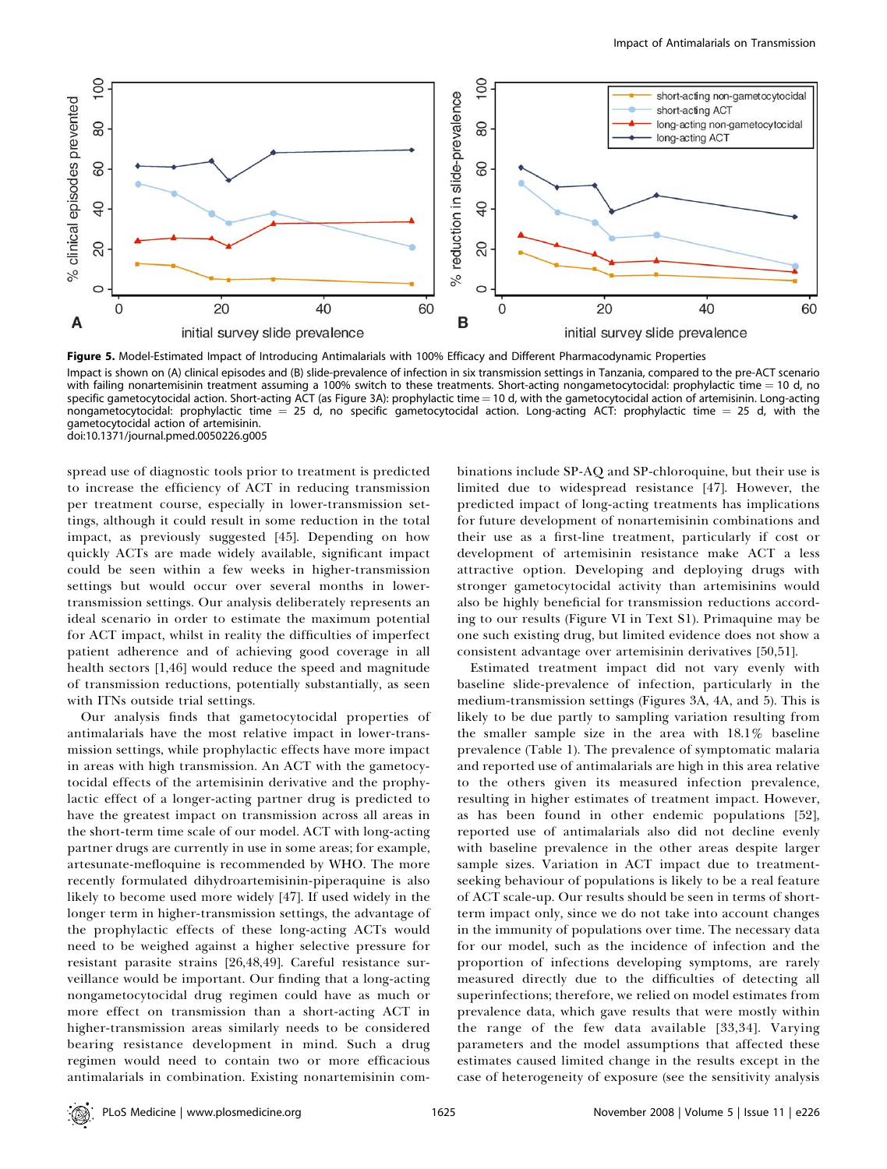

Figure 5. Model-Estimated Impact of Introducing Antimalarials with 100% Efficacy and Different Pharmacodynamic Properties Impact is shown on (A) clinical episodes and (B) slide-prevalence of infection in six transmission settings in Tanzania, compared to the pre-ACT scenario with failing nonartemisinin treatment assuming a 100% switch to these treatments. Short-acting nongametocytocidal: prophylactic time  $= 10$  d, no specific gametocytocidal action. Short-acting ACT (as Figure 3A): prophylactic time = 10 d, with the gametocytocidal action of artemisinin. Long-acting nongametocytocidal: prophylactic time  $= 25$  d, no specific gametocytocidal action. Long-acting ACT: prophylactic time  $= 25$  d, with the gametocytocidal action of artemisinin. doi:10.1371/journal.pmed.0050226.g005

spread use of diagnostic tools prior to treatment is predicted to increase the efficiency of ACT in reducing transmission per treatment course, especially in lower-transmission settings, although it could result in some reduction in the total impact, as previously suggested [45]. Depending on how quickly ACTs are made widely available, significant impact could be seen within a few weeks in higher-transmission settings but would occur over several months in lowertransmission settings. Our analysis deliberately represents an ideal scenario in order to estimate the maximum potential for ACT impact, whilst in reality the difficulties of imperfect patient adherence and of achieving good coverage in all health sectors [1,46] would reduce the speed and magnitude of transmission reductions, potentially substantially, as seen with ITNs outside trial settings.

Our analysis finds that gametocytocidal properties of antimalarials have the most relative impact in lower-transmission settings, while prophylactic effects have more impact in areas with high transmission. An ACT with the gametocytocidal effects of the artemisinin derivative and the prophylactic effect of a longer-acting partner drug is predicted to have the greatest impact on transmission across all areas in the short-term time scale of our model. ACT with long-acting partner drugs are currently in use in some areas; for example, artesunate-mefloquine is recommended by WHO. The more recently formulated dihydroartemisinin-piperaquine is also likely to become used more widely [47]. If used widely in the longer term in higher-transmission settings, the advantage of the prophylactic effects of these long-acting ACTs would need to be weighed against a higher selective pressure for resistant parasite strains [26,48,49]. Careful resistance surveillance would be important. Our finding that a long-acting nongametocytocidal drug regimen could have as much or more effect on transmission than a short-acting ACT in higher-transmission areas similarly needs to be considered bearing resistance development in mind. Such a drug regimen would need to contain two or more efficacious antimalarials in combination. Existing nonartemisinin com-

binations include SP-AQ and SP-chloroquine, but their use is limited due to widespread resistance [47]. However, the predicted impact of long-acting treatments has implications for future development of nonartemisinin combinations and their use as a first-line treatment, particularly if cost or development of artemisinin resistance make ACT a less attractive option. Developing and deploying drugs with stronger gametocytocidal activity than artemisinins would also be highly beneficial for transmission reductions according to our results (Figure VI in Text S1). Primaquine may be one such existing drug, but limited evidence does not show a consistent advantage over artemisinin derivatives [50,51].

Estimated treatment impact did not vary evenly with baseline slide-prevalence of infection, particularly in the medium-transmission settings (Figures 3A, 4A, and 5). This is likely to be due partly to sampling variation resulting from the smaller sample size in the area with 18.1% baseline prevalence (Table 1). The prevalence of symptomatic malaria and reported use of antimalarials are high in this area relative to the others given its measured infection prevalence, resulting in higher estimates of treatment impact. However, as has been found in other endemic populations [52], reported use of antimalarials also did not decline evenly with baseline prevalence in the other areas despite larger sample sizes. Variation in ACT impact due to treatmentseeking behaviour of populations is likely to be a real feature of ACT scale-up. Our results should be seen in terms of shortterm impact only, since we do not take into account changes in the immunity of populations over time. The necessary data for our model, such as the incidence of infection and the proportion of infections developing symptoms, are rarely measured directly due to the difficulties of detecting all superinfections; therefore, we relied on model estimates from prevalence data, which gave results that were mostly within the range of the few data available [33,34]. Varying parameters and the model assumptions that affected these estimates caused limited change in the results except in the case of heterogeneity of exposure (see the sensitivity analysis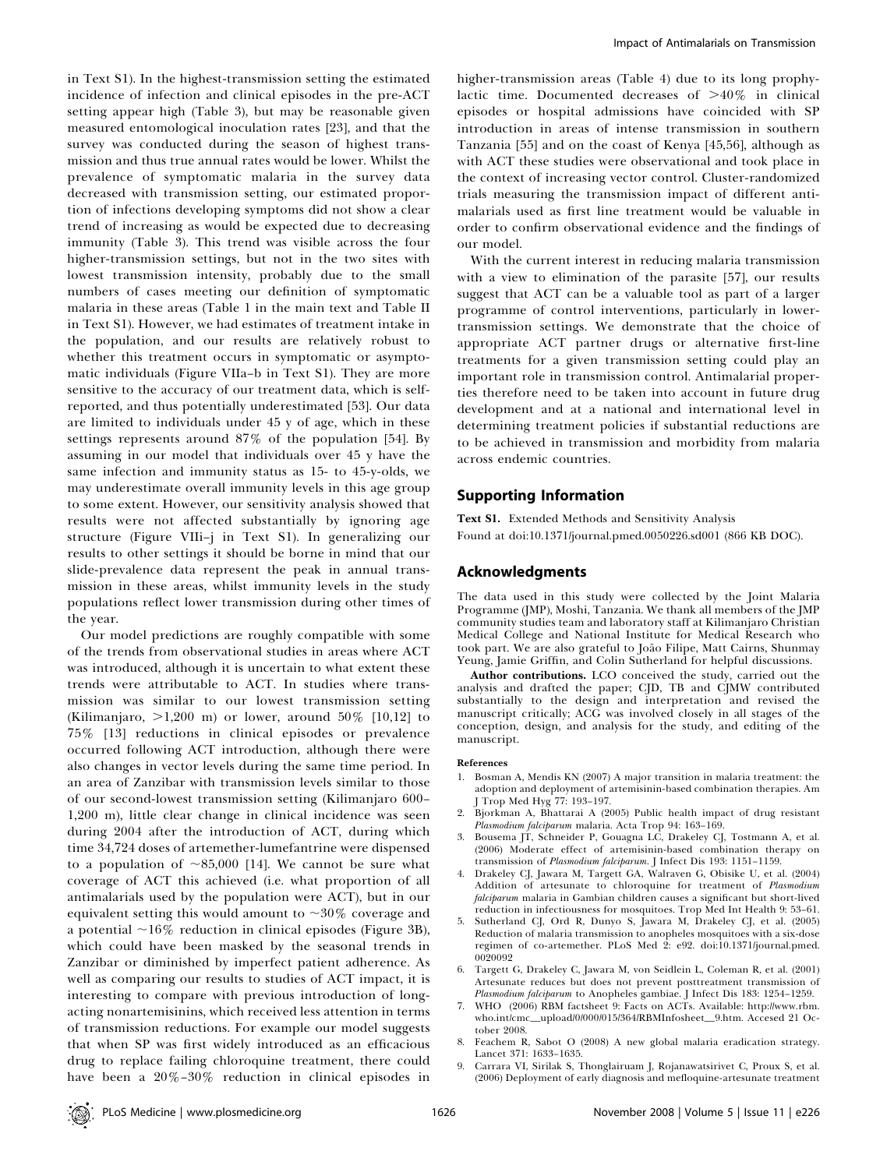in Text S1). In the highest-transmission setting the estimated incidence of infection and clinical episodes in the pre-ACT setting appear high (Table 3), but may be reasonable given measured entomological inoculation rates [23], and that the survey was conducted during the season of highest transmission and thus true annual rates would be lower. Whilst the prevalence of symptomatic malaria in the survey data decreased with transmission setting, our estimated proportion of infections developing symptoms did not show a clear trend of increasing as would be expected due to decreasing immunity (Table 3). This trend was visible across the four higher-transmission settings, but not in the two sites with lowest transmission intensity, probably due to the small numbers of cases meeting our definition of symptomatic malaria in these areas (Table 1 in the main text and Table II in Text S1). However, we had estimates of treatment intake in the population, and our results are relatively robust to whether this treatment occurs in symptomatic or asymptomatic individuals (Figure VIIa–b in Text S1). They are more sensitive to the accuracy of our treatment data, which is selfreported, and thus potentially underestimated [53]. Our data are limited to individuals under 45 y of age, which in these settings represents around 87% of the population [54]. By assuming in our model that individuals over 45 y have the same infection and immunity status as 15- to 45-y-olds, we may underestimate overall immunity levels in this age group to some extent. However, our sensitivity analysis showed that results were not affected substantially by ignoring age structure (Figure VIIi–j in Text S1). In generalizing our results to other settings it should be borne in mind that our slide-prevalence data represent the peak in annual transmission in these areas, whilst immunity levels in the study populations reflect lower transmission during other times of the year.

Our model predictions are roughly compatible with some of the trends from observational studies in areas where ACT was introduced, although it is uncertain to what extent these trends were attributable to ACT. In studies where transmission was similar to our lowest transmission setting (Kilimanjaro,  $>1,200$  m) or lower, around  $50\%$  [10,12] to 75% [13] reductions in clinical episodes or prevalence occurred following ACT introduction, although there were also changes in vector levels during the same time period. In an area of Zanzibar with transmission levels similar to those of our second-lowest transmission setting (Kilimanjaro 600– 1,200 m), little clear change in clinical incidence was seen during 2004 after the introduction of ACT, during which time 34,724 doses of artemether-lumefantrine were dispensed to a population of  $\sim 85,000$  [14]. We cannot be sure what coverage of ACT this achieved (i.e. what proportion of all antimalarials used by the population were ACT), but in our equivalent setting this would amount to  $\sim$ 30% coverage and a potential  $\sim$ 16% reduction in clinical episodes (Figure 3B), which could have been masked by the seasonal trends in Zanzibar or diminished by imperfect patient adherence. As well as comparing our results to studies of ACT impact, it is interesting to compare with previous introduction of longacting nonartemisinins, which received less attention in terms of transmission reductions. For example our model suggests that when SP was first widely introduced as an efficacious drug to replace failing chloroquine treatment, there could have been a 20%–30% reduction in clinical episodes in

higher-transmission areas (Table 4) due to its long prophylactic time. Documented decreases of  $>40\%$  in clinical episodes or hospital admissions have coincided with SP introduction in areas of intense transmission in southern Tanzania [55] and on the coast of Kenya [45,56], although as with ACT these studies were observational and took place in the context of increasing vector control. Cluster-randomized trials measuring the transmission impact of different antimalarials used as first line treatment would be valuable in order to confirm observational evidence and the findings of our model.

With the current interest in reducing malaria transmission with a view to elimination of the parasite [57], our results suggest that ACT can be a valuable tool as part of a larger programme of control interventions, particularly in lowertransmission settings. We demonstrate that the choice of appropriate ACT partner drugs or alternative first-line treatments for a given transmission setting could play an important role in transmission control. Antimalarial properties therefore need to be taken into account in future drug development and at a national and international level in determining treatment policies if substantial reductions are to be achieved in transmission and morbidity from malaria across endemic countries.

#### Supporting Information

Text S1. Extended Methods and Sensitivity Analysis Found at doi:10.1371/journal.pmed.0050226.sd001 (866 KB DOC).

#### Acknowledgments

The data used in this study were collected by the Joint Malaria Programme (JMP), Moshi, Tanzania. We thank all members of the JMP community studies team and laboratory staff at Kilimanjaro Christian Medical College and National Institute for Medical Research who took part. We are also grateful to João Filipe, Matt Cairns, Shunmay Yeung, Jamie Griffin, and Colin Sutherland for helpful discussions.

Author contributions. LCO conceived the study, carried out the analysis and drafted the paper; CJD, TB and CJMW contributed substantially to the design and interpretation and revised the manuscript critically; ACG was involved closely in all stages of the conception, design, and analysis for the study, and editing of the manuscript.

#### References

- 1. Bosman A, Mendis KN (2007) A major transition in malaria treatment: the adoption and deployment of artemisinin-based combination therapies. Am J Trop Med Hyg 77: 193–197.
- 2. Bjorkman A, Bhattarai A (2005) Public health impact of drug resistant Plasmodium falciparum malaria. Acta Trop 94: 163–169.
- 3. Bousema JT, Schneider P, Gouagna LC, Drakeley CJ, Tostmann A, et al. (2006) Moderate effect of artemisinin-based combination therapy on transmission of Plasmodium falciparum. J Infect Dis 193: 1151–1159.
- 4. Drakeley CJ, Jawara M, Targett GA, Walraven G, Obisike U, et al. (2004) Addition of artesunate to chloroquine for treatment of Plasmodium falciparum malaria in Gambian children causes a significant but short-lived reduction in infectiousness for mosquitoes. Trop Med Int Health 9: 53–61.
- 5. Sutherland CJ, Ord R, Dunyo S, Jawara M, Drakeley CJ, et al. (2005) Reduction of malaria transmission to anopheles mosquitoes with a six-dose regimen of co-artemether. PLoS Med 2: e92. doi:10.1371/journal.pmed. 0020092
- 6. Targett G, Drakeley C, Jawara M, von Seidlein L, Coleman R, et al. (2001) Artesunate reduces but does not prevent posttreatment transmission of Plasmodium falciparum to Anopheles gambiae. J Infect Dis 183: 1254–1259.
- 7. WHO (2006) RBM factsheet 9: Facts on ACTs. Available: http://www.rbm. who.int/cmc\_upload/0/000/015/364/RBMInfosheet\_9.htm. Accesed 21 October 2008.
- 8. Feachem R, Sabot O (2008) A new global malaria eradication strategy. Lancet 371: 1633–1635.
- 9. Carrara VI, Sirilak S, Thonglairuam J, Rojanawatsirivet C, Proux S, et al. (2006) Deployment of early diagnosis and mefloquine-artesunate treatment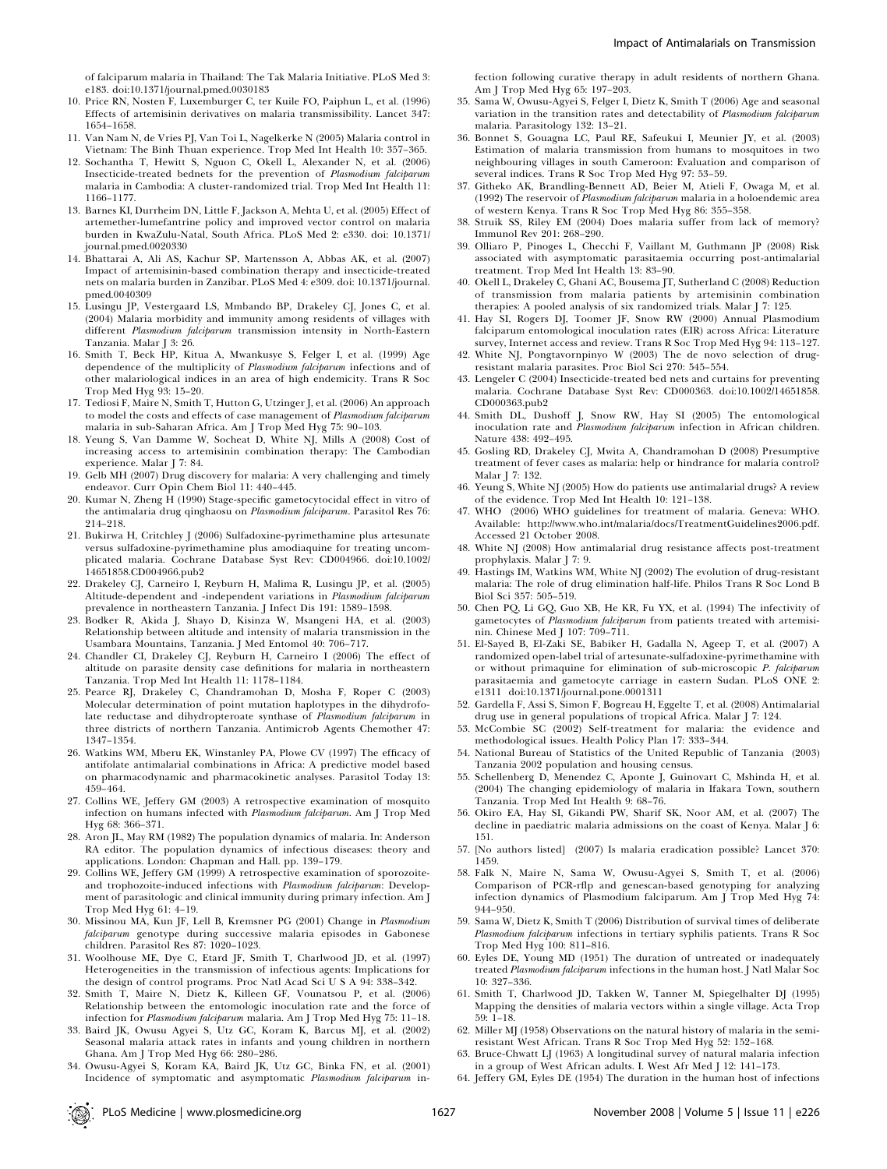- 10. Price RN, Nosten F, Luxemburger C, ter Kuile FO, Paiphun L, et al. (1996) Effects of artemisinin derivatives on malaria transmissibility. Lancet 347: 1654–1658.
- 11. Van Nam N, de Vries PJ, Van Toi L, Nagelkerke N (2005) Malaria control in Vietnam: The Binh Thuan experience. Trop Med Int Health 10: 357–365.
- 12. Sochantha T, Hewitt S, Nguon C, Okell L, Alexander N, et al. (2006) Insecticide-treated bednets for the prevention of Plasmodium falciparum malaria in Cambodia: A cluster-randomized trial. Trop Med Int Health 11: 1166–1177.
- 13. Barnes KI, Durrheim DN, Little F, Jackson A, Mehta U, et al. (2005) Effect of artemether-lumefantrine policy and improved vector control on malaria burden in KwaZulu-Natal, South Africa. PLoS Med 2: e330. doi: 10.1371/ journal.pmed.0020330
- 14. Bhattarai A, Ali AS, Kachur SP, Martensson A, Abbas AK, et al. (2007) Impact of artemisinin-based combination therapy and insecticide-treated nets on malaria burden in Zanzibar. PLoS Med 4: e309. doi: 10.1371/journal. pmed.0040309
- 15. Lusingu JP, Vestergaard LS, Mmbando BP, Drakeley CJ, Jones C, et al. (2004) Malaria morbidity and immunity among residents of villages with different Plasmodium falciparum transmission intensity in North-Eastern Tanzania. Malar J 3: 26.
- 16. Smith T, Beck HP, Kitua A, Mwankusye S, Felger I, et al. (1999) Age dependence of the multiplicity of Plasmodium falciparum infections and of other malariological indices in an area of high endemicity. Trans R Soc Trop Med Hyg 93: 15–20.
- 17. Tediosi F, Maire N, Smith T, Hutton G, Utzinger J, et al. (2006) An approach to model the costs and effects of case management of Plasmodium falciparum malaria in sub-Saharan Africa. Am J Trop Med Hyg 75: 90–103.
- 18. Yeung S, Van Damme W, Socheat D, White NJ, Mills A (2008) Cost of increasing access to artemisinin combination therapy: The Cambodian experience. Malar J 7: 84.
- 19. Gelb MH (2007) Drug discovery for malaria: A very challenging and timely endeavor. Curr Opin Chem Biol 11: 440–445.
- 20. Kumar N, Zheng H (1990) Stage-specific gametocytocidal effect in vitro of the antimalaria drug qinghaosu on Plasmodium falciparum. Parasitol Res 76: 214–218.
- 21. Bukirwa H, Critchley J (2006) Sulfadoxine-pyrimethamine plus artesunate versus sulfadoxine-pyrimethamine plus amodiaquine for treating uncomplicated malaria. Cochrane Database Syst Rev: CD004966. doi:10.1002/ 14651858.CD004966.pub2
- 22. Drakeley CJ, Carneiro I, Reyburn H, Malima R, Lusingu JP, et al. (2005) Altitude-dependent and -independent variations in Plasmodium falciparum prevalence in northeastern Tanzania. J Infect Dis 191: 1589–1598.
- 23. Bodker R, Akida J, Shayo D, Kisinza W, Msangeni HA, et al. (2003) Relationship between altitude and intensity of malaria transmission in the Usambara Mountains, Tanzania. J Med Entomol 40: 706–717.
- 24. Chandler CI, Drakeley CJ, Reyburn H, Carneiro I (2006) The effect of altitude on parasite density case definitions for malaria in northeastern Tanzania. Trop Med Int Health 11: 1178–1184.
- 25. Pearce RJ, Drakeley C, Chandramohan D, Mosha F, Roper C (2003) Molecular determination of point mutation haplotypes in the dihydrofolate reductase and dihydropteroate synthase of Plasmodium falciparum in three districts of northern Tanzania. Antimicrob Agents Chemother 47: 1347–1354.
- 26. Watkins WM, Mberu EK, Winstanley PA, Plowe CV (1997) The efficacy of antifolate antimalarial combinations in Africa: A predictive model based on pharmacodynamic and pharmacokinetic analyses. Parasitol Today 13: 459–464.
- 27. Collins WE, Jeffery GM (2003) A retrospective examination of mosquito infection on humans infected with Plasmodium falciparum. Am J Trop Med Hyg 68: 366–371.
- 28. Aron JL, May RM (1982) The population dynamics of malaria. In: Anderson RA editor. The population dynamics of infectious diseases: theory and applications. London: Chapman and Hall. pp. 139–179.
- 29. Collins WE, Jeffery GM (1999) A retrospective examination of sporozoiteand trophozoite-induced infections with Plasmodium falciparum: Development of parasitologic and clinical immunity during primary infection. Am J Trop Med Hyg 61: 4–19.
- 30. Missinou MA, Kun JF, Lell B, Kremsner PG (2001) Change in Plasmodium falciparum genotype during successive malaria episodes in Gabonese children. Parasitol Res 87: 1020–1023.
- 31. Woolhouse ME, Dye C, Etard JF, Smith T, Charlwood JD, et al. (1997) Heterogeneities in the transmission of infectious agents: Implications for the design of control programs. Proc Natl Acad Sci U S A 94: 338–342.
- 32. Smith T, Maire N, Dietz K, Killeen GF, Vounatsou P, et al. (2006) Relationship between the entomologic inoculation rate and the force of infection for Plasmodium falciparum malaria. Am J Trop Med Hyg 75: 11–18.
- 33. Baird JK, Owusu Agyei S, Utz GC, Koram K, Barcus MJ, et al. (2002) Seasonal malaria attack rates in infants and young children in northern Ghana. Am J Trop Med Hyg 66: 280–286.
- 34. Owusu-Agyei S, Koram KA, Baird JK, Utz GC, Binka FN, et al. (2001) Incidence of symptomatic and asymptomatic Plasmodium falciparum in-

fection following curative therapy in adult residents of northern Ghana. Am J Trop Med Hyg 65: 197–203.

- 35. Sama W, Owusu-Agyei S, Felger I, Dietz K, Smith T (2006) Age and seasonal variation in the transition rates and detectability of Plasmodium falciparum malaria. Parasitology 132: 13–21.
- 36. Bonnet S, Gouagna LC, Paul RE, Safeukui I, Meunier JY, et al. (2003) Estimation of malaria transmission from humans to mosquitoes in two neighbouring villages in south Cameroon: Evaluation and comparison of several indices. Trans R Soc Trop Med Hyg 97: 53–59.
- 37. Githeko AK, Brandling-Bennett AD, Beier M, Atieli F, Owaga M, et al. (1992) The reservoir of Plasmodium falciparum malaria in a holoendemic area of western Kenya. Trans R Soc Trop Med Hyg 86: 355–358.
- 38. Struik SS, Riley EM (2004) Does malaria suffer from lack of memory? Immunol Rev 201: 268–290.
- 39. Olliaro P, Pinoges L, Checchi F, Vaillant M, Guthmann JP (2008) Risk associated with asymptomatic parasitaemia occurring post-antimalarial treatment. Trop Med Int Health 13: 83–90.
- 40. Okell L, Drakeley C, Ghani AC, Bousema JT, Sutherland C (2008) Reduction of transmission from malaria patients by artemisinin combination therapies: A pooled analysis of six randomized trials. Malar J 7: 125.
- 41. Hay SI, Rogers DJ, Toomer JF, Snow RW (2000) Annual Plasmodium falciparum entomological inoculation rates (EIR) across Africa: Literature survey, Internet access and review. Trans R Soc Trop Med Hyg 94: 113–127.
- 42. White NJ, Pongtavornpinyo W (2003) The de novo selection of drugresistant malaria parasites. Proc Biol Sci 270: 545–554.
- 43. Lengeler C (2004) Insecticide-treated bed nets and curtains for preventing malaria. Cochrane Database Syst Rev: CD000363. doi:10.1002/14651858. CD000363.pub2
- 44. Smith DL, Dushoff J, Snow RW, Hay SI (2005) The entomological inoculation rate and Plasmodium falciparum infection in African children. Nature 438: 492–495.
- 45. Gosling RD, Drakeley CJ, Mwita A, Chandramohan D (2008) Presumptive treatment of fever cases as malaria: help or hindrance for malaria control? Malar J 7: 132.
- 46. Yeung S, White NJ (2005) How do patients use antimalarial drugs? A review of the evidence. Trop Med Int Health 10: 121–138.
- 47. WHO (2006) WHO guidelines for treatment of malaria. Geneva: WHO. Available: http://www.who.int/malaria/docs/TreatmentGuidelines2006.pdf. Accessed 21 October 2008.
- 48. White NJ (2008) How antimalarial drug resistance affects post-treatment prophylaxis. Malar J 7: 9.
- 49. Hastings IM, Watkins WM, White NJ (2002) The evolution of drug-resistant malaria: The role of drug elimination half-life. Philos Trans R Soc Lond B Biol Sci 357: 505–519.
- 50. Chen PQ, Li GQ, Guo XB, He KR, Fu YX, et al. (1994) The infectivity of gametocytes of Plasmodium falciparum from patients treated with artemisinin. Chinese Med J 107: 709–711.
- 51. El-Sayed B, El-Zaki SE, Babiker H, Gadalla N, Ageep T, et al. (2007) A randomized open-label trial of artesunate-sulfadoxine-pyrimethamine with or without primaquine for elimination of sub-microscopic P. falciparum parasitaemia and gametocyte carriage in eastern Sudan. PLoS ONE 2: e1311 doi:10.1371/journal.pone.0001311
- 52. Gardella F, Assi S, Simon F, Bogreau H, Eggelte T, et al. (2008) Antimalarial drug use in general populations of tropical Africa. Malar J 7: 124.
- 53. McCombie SC (2002) Self-treatment for malaria: the evidence and methodological issues. Health Policy Plan 17: 333–344.
- 54. National Bureau of Statistics of the United Republic of Tanzania (2003) Tanzania 2002 population and housing census.
- 55. Schellenberg D, Menendez C, Aponte J, Guinovart C, Mshinda H, et al. (2004) The changing epidemiology of malaria in Ifakara Town, southern Tanzania. Trop Med Int Health 9: 68–76.
- 56. Okiro EA, Hay SI, Gikandi PW, Sharif SK, Noor AM, et al. (2007) The decline in paediatric malaria admissions on the coast of Kenya. Malar J 6: 151.
- 57. [No authors listed] (2007) Is malaria eradication possible? Lancet 370: 1459.
- 58. Falk N, Maire N, Sama W, Owusu-Agyei S, Smith T, et al. (2006) Comparison of PCR-rflp and genescan-based genotyping for analyzing infection dynamics of Plasmodium falciparum. Am J Trop Med Hyg 74: 944–950.
- 59. Sama W, Dietz K, Smith T (2006) Distribution of survival times of deliberate Plasmodium falciparum infections in tertiary syphilis patients. Trans R Soc Trop Med Hyg 100: 811–816.
- 60. Eyles DE, Young MD (1951) The duration of untreated or inadequately treated Plasmodium falciparum infections in the human host. J Natl Malar Soc 10: 327–336.
- 61. Smith T, Charlwood JD, Takken W, Tanner M, Spiegelhalter DJ (1995) Mapping the densities of malaria vectors within a single village. Acta Trop 59: 1–18.
- 62. Miller MJ (1958) Observations on the natural history of malaria in the semiresistant West African. Trans R Soc Trop Med Hyg 52: 152–168.
- 63. Bruce-Chwatt LJ (1963) A longitudinal survey of natural malaria infection in a group of West African adults. I. West Afr Med J 12: 141–173.
- 64. Jeffery GM, Eyles DE (1954) The duration in the human host of infections